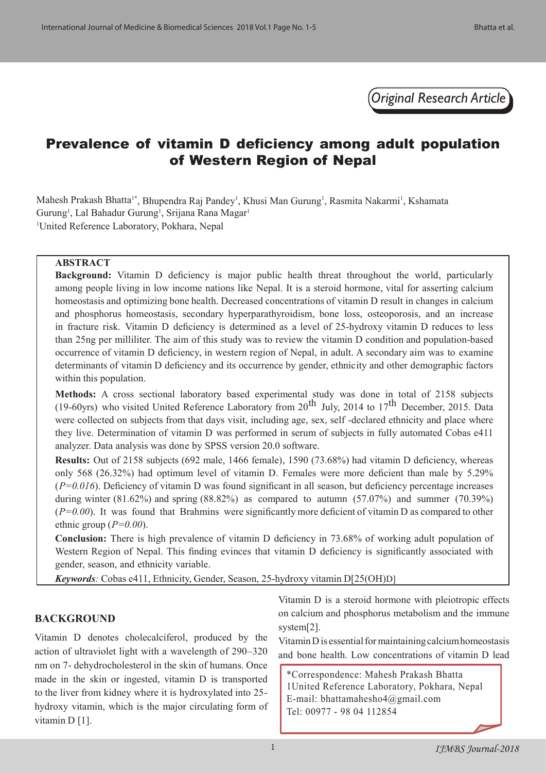*Original Research Article*

# Prevalence of vitamin D deficiency among adult population of Western Region of Nepal

Mahesh Prakash Bhatta<sup>1\*</sup>, Bhupendra Raj Pandey<sup>1</sup>, Khusi Man Gurung<sup>1</sup>, Rasmita Nakarmi<sup>1</sup>, Kshamata Gurung<sup>1</sup>, Lal Bahadur Gurung<sup>1</sup>, Srijana Rana Magar<sup>1</sup> 1 United Reference Laboratory, Pokhara, Nepal

## **ABSTRACT**

**Background:** Vitamin D deficiency is major public health threat throughout the world, particularly among people living in low income nations like Nepal. It is a steroid hormone, vital for asserting calcium homeostasis and optimizing bone health. Decreased concentrations of vitamin D result in changes in calcium and phosphorus homeostasis, secondary hyperparathyroidism, bone loss, osteoporosis, and an increase in fracture risk. Vitamin D deficiency is determined as a level of 25-hydroxy vitamin D reduces to less than 25ng per milliliter. The aim of this study was to review the vitamin D condition and population-based occurrence of vitamin D deficiency, in western region of Nepal, in adult. A secondary aim was to examine determinants of vitamin D deficiency and its occurrence by gender, ethnicity and other demographic factors within this population.

**Methods:** A cross sectional laboratory based experimental study was done in total of 2158 subjects (19-60yrs) who visited United Reference Laboratory from  $20^{th}$  July, 2014 to 17<sup>th</sup> December, 2015. Data were collected on subjects from that days visit, including age, sex, self -declared ethnicity and place where they live. Determination of vitamin D was performed in serum of subjects in fully automated Cobas e411 analyzer. Data analysis was done by SPSS version 20.0 software.

**Results:** Out of 2158 subjects (692 male, 1466 female), 1590 (73.68%) had vitamin D deficiency, whereas only 568 (26.32%) had optimum level of vitamin D. Females were more deficient than male by 5.29% (*P=0.016*). Deficiency of vitamin D was found significant in all season, but deficiency percentage increases during winter  $(81.62\%)$  and spring  $(88.82\%)$  as compared to autumn  $(57.07\%)$  and summer  $(70.39\%)$ (*P=0.00*). It was found that Brahmins were significantly more deficient of vitamin D as compared to other ethnic group (*P=0.00*).

**Conclusion:** There is high prevalence of vitamin D deficiency in 73.68% of working adult population of Western Region of Nepal. This finding evinces that vitamin D deficiency is significantly associated with gender, season, and ethnicity variable.

*Keywords:* Cobas e411, Ethnicity, Gender, Season, 25-hydroxy vitamin D[25(OH)D]

# **BACKGROUND**

Vitamin D denotes cholecalciferol, produced by the action of ultraviolet light with a wavelength of 290–320 nm on 7- dehydrocholesterol in the skin of humans. Once made in the skin or ingested, vitamin D is transported to the liver from kidney where it is hydroxylated into 25 hydroxy vitamin, which is the major circulating form of vitamin D [1].

Vitamin D is a steroid hormone with pleiotropic effects on calcium and phosphorus metabolism and the immune system[2].

Vitamin D is essential for maintaining calcium homeostasis and bone health. Low concentrations of vitamin D lead

\*Correspondence: Mahesh Prakash Bhatta 1United Reference Laboratory, Pokhara, Nepal E-mail: bhattamahesho4@gmail.com Tel: 00977 - 98 04 112854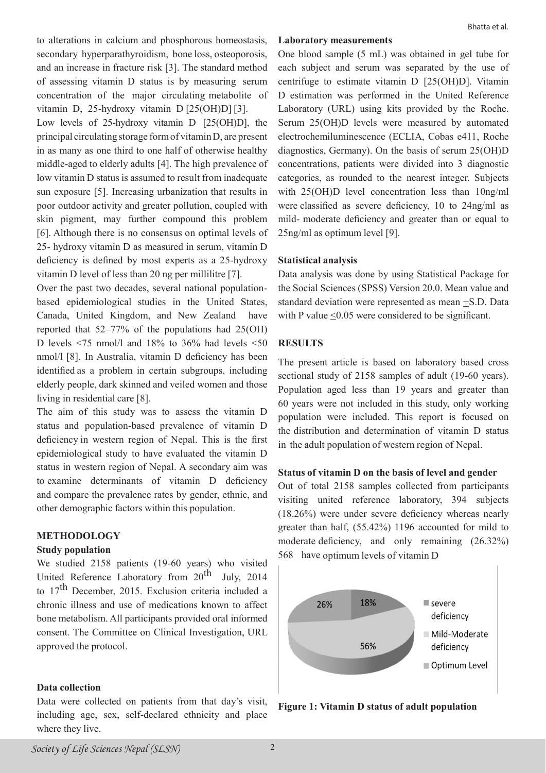to alterations in calcium and phosphorous homeostasis, secondary hyperparathyroidism, bone loss, osteoporosis, and an increase in fracture risk [3]. The standard method of assessing vitamin D status is by measuring serum concentration of the major circulating metabolite of vitamin D, 25-hydroxy vitamin D [25(OH)D] [3].

Low levels of 25-hydroxy vitamin D [25(OH)D], the principal circulating storage form of vitamin D, are present in as many as one third to one half of otherwise healthy middle-aged to elderly adults [4]. The high prevalence of low vitamin D status is assumed to result from inadequate sun exposure [5]. Increasing urbanization that results in poor outdoor activity and greater pollution, coupled with skin pigment, may further compound this problem [6]. Although there is no consensus on optimal levels of 25- hydroxy vitamin D as measured in serum, vitamin D deficiency is defined by most experts as a 25-hydroxy vitamin D level of less than 20 ng per millilitre [7].

Over the past two decades, several national populationbased epidemiological studies in the United States, Canada, United Kingdom, and New Zealand have reported that 52–77% of the populations had 25(OH) D levels  $\leq$ 75 nmol/l and 18% to 36% had levels  $\leq$ 50 nmol/l [8]. In Australia, vitamin D deficiency has been identified as a problem in certain subgroups, including elderly people, dark skinned and veiled women and those living in residential care [8].

The aim of this study was to assess the vitamin D status and population-based prevalence of vitamin D deficiency in western region of Nepal. This is the first epidemiological study to have evaluated the vitamin D status in western region of Nepal. A secondary aim was to examine determinants of vitamin D deficiency and compare the prevalence rates by gender, ethnic, and other demographic factors within this population.

# **METHODOLOGY**

# **Study population**

We studied 2158 patients (19-60 years) who visited United Reference Laboratory from 20<sup>th</sup> July, 2014 to 17<sup>th</sup> December, 2015. Exclusion criteria included a chronic illness and use of medications known to affect bone metabolism. All participants provided oral informed consent. The Committee on Clinical Investigation, URL approved the protocol.

# **Data collection**

Data were collected on patients from that day's visit, including age, sex, self-declared ethnicity and place where they live.

# Bhatta et al.

## **Laboratory measurements**

One blood sample (5 mL) was obtained in gel tube for each subject and serum was separated by the use of centrifuge to estimate vitamin D [25(OH)D]. Vitamin D estimation was performed in the United Reference Laboratory (URL) using kits provided by the Roche. Serum 25(OH)D levels were measured by automated electrochemiluminescence (ECLIA, Cobas e411, Roche diagnostics, Germany). On the basis of serum 25(OH)D concentrations, patients were divided into 3 diagnostic categories, as rounded to the nearest integer. Subjects with 25(OH)D level concentration less than 10ng/ml were classified as severe deficiency, 10 to 24ng/ml as mild- moderate deficiency and greater than or equal to 25ng/ml as optimum level [9].

# **Statistical analysis**

Data analysis was done by using Statistical Package for the Social Sciences (SPSS) Version 20.0. Mean value and standard deviation were represented as mean +S.D. Data with P value  $\leq 0.05$  were considered to be significant.

# **RESULTS**

The present article is based on laboratory based cross sectional study of 2158 samples of adult (19-60 years). Population aged less than 19 years and greater than 60 years were not included in this study, only working population were included. This report is focused on the distribution and determination of vitamin D status in the adult population of western region of Nepal.

# **Status of vitamin D on the basis of level and gender**

Out of total 2158 samples collected from participants visiting united reference laboratory, 394 subjects (18.26%) were under severe deficiency whereas nearly greater than half, (55.42%) 1196 accounted for mild to moderate deficiency, and only remaining (26.32%) 568 have optimum levels of vitamin D



**Figure 1: Vitamin D status of adult population**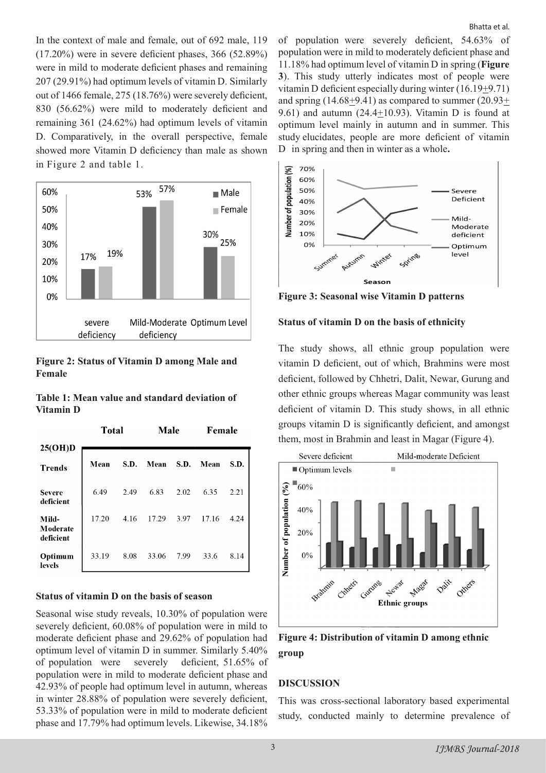In the context of male and female, out of 692 male, 119 (17.20%) were in severe deficient phases, 366 (52.89%) were in mild to moderate deficient phases and remaining 207 (29.91%) had optimum levels of vitamin D. Similarly out of 1466 female, 275 (18.76%) were severely deficient, 830 (56.62%) were mild to moderately deficient and remaining 361 (24.62%) had optimum levels of vitamin D. Comparatively, in the overall perspective, female showed more Vitamin D deficiency than male as shown in Figure 2 and table 1.



**Figure 2: Status of Vitamin D among Male and Female**

|           |  |  | Table 1: Mean value and standard deviation of |  |
|-----------|--|--|-----------------------------------------------|--|
| Vitamin D |  |  |                                               |  |

|                                | <b>Total</b> |      | Male  |      | Female |      |
|--------------------------------|--------------|------|-------|------|--------|------|
| 25(OH)D                        |              |      |       |      |        |      |
| <b>Trends</b>                  | Mean         | S.D. | Mean  | S.D. | Mean   | S.D. |
| <b>Severe</b><br>deficient     | 6.49         | 2.49 | 6.83  | 2.02 | 6.35   | 2.21 |
| Mild-<br>Moderate<br>deficient | 17.20        | 4.16 | 17.29 | 3.97 | 17.16  | 4.24 |
| Optimum<br>levels              | 33.19        | 8.08 | 33.06 | 7.99 | 33.6   | 8.14 |

#### **Status of vitamin D on the basis of season**

Seasonal wise study reveals, 10.30% of population were severely deficient, 60.08% of population were in mild to moderate deficient phase and 29.62% of population had optimum level of vitamin D in summer. Similarly 5.40% of population were severely deficient, 51.65% of population were in mild to moderate deficient phase and 42.93% of people had optimum level in autumn, whereas in winter 28.88% of population were severely deficient, 53.33% of population were in mild to moderate deficient phase and 17.79% had optimum levels. Likewise, 34.18% of population were severely deficient, 54.63% of population were in mild to moderately deficient phase and 11.18% had optimum level of vitamin D in spring (**Figure 3**). This study utterly indicates most of people were vitamin D deficient especially during winter (16.19+9.71) and spring  $(14.68+9.41)$  as compared to summer  $(20.93+)$ 9.61) and autumn (24.4+10.93). Vitamin D is found at optimum level mainly in autumn and in summer. This study elucidates, people are more deficient of vitamin D in spring and then in winter as a whole**.**



**Figure 3: Seasonal wise Vitamin D patterns**

#### **Status of vitamin D on the basis of ethnicity**

The study shows, all ethnic group population were vitamin D deficient, out of which, Brahmins were most deficient, followed by Chhetri, Dalit, Newar, Gurung and other ethnic groups whereas Magar community was least deficient of vitamin D. This study shows, in all ethnic groups vitamin D is significantly deficient, and amongst them, most in Brahmin and least in Magar (Figure 4).



**Figure 4: Distribution of vitamin D among ethnic group**

# **DISCUSSION**

This was cross-sectional laboratory based experimental study, conducted mainly to determine prevalence of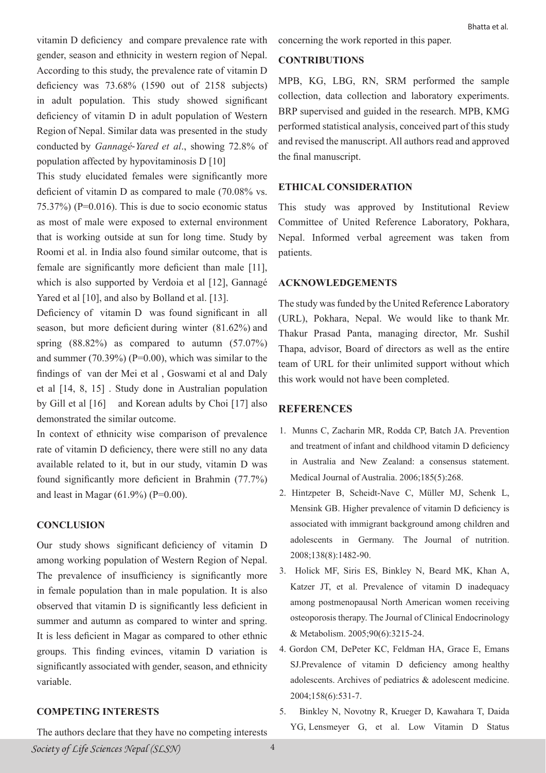vitamin D deficiency and compare prevalence rate with gender, season and ethnicity in western region of Nepal. According to this study, the prevalence rate of vitamin D deficiency was 73.68% (1590 out of 2158 subjects) in adult population. This study showed significant deficiency of vitamin D in adult population of Western Region of Nepal. Similar data was presented in the study conducted by *Gannagé*‐*Yared et al*., showing 72.8% of population affected by hypovitaminosis D [10]

This study elucidated females were significantly more deficient of vitamin D as compared to male (70.08% vs. 75.37%) (P=0.016). This is due to socio economic status as most of male were exposed to external environment that is working outside at sun for long time. Study by Roomi et al. in India also found similar outcome, that is female are significantly more deficient than male [11], which is also supported by Verdoia et al [12], Gannagé Yared et al [10], and also by Bolland et al. [13].

Deficiency of vitamin D was found significant in all season, but more deficient during winter (81.62%) and spring  $(88.82\%)$  as compared to autumn  $(57.07\%)$ and summer  $(70.39\%)$  (P=0.00), which was similar to the findings of van der Mei et al , Goswami et al and Daly et al [14, 8, 15] . Study done in Australian population by Gill et al [16] and Korean adults by Choi [17] also demonstrated the similar outcome.

In context of ethnicity wise comparison of prevalence rate of vitamin D deficiency, there were still no any data available related to it, but in our study, vitamin D was found significantly more deficient in Brahmin (77.7%) and least in Magar  $(61.9\%)$  (P=0.00).

# **CONCLUSION**

Our study shows significant deficiency of vitamin D among working population of Western Region of Nepal. The prevalence of insufficiency is significantly more in female population than in male population. It is also observed that vitamin D is significantly less deficient in summer and autumn as compared to winter and spring. It is less deficient in Magar as compared to other ethnic groups. This finding evinces, vitamin D variation is significantly associated with gender, season, and ethnicity variable.

# **COMPETING INTERESTS**

The authors declare that they have no competing interests

concerning the work reported in this paper.

# **CONTRIBUTIONS**

MPB, KG, LBG, RN, SRM performed the sample collection, data collection and laboratory experiments. BRP supervised and guided in the research. MPB, KMG performed statistical analysis, conceived part of this study and revised the manuscript. All authors read and approved the final manuscript.

## **ETHICAL CONSIDERATION**

This study was approved by Institutional Review Committee of United Reference Laboratory, Pokhara, Nepal. Informed verbal agreement was taken from patients.

#### **ACKNOWLEDGEMENTS**

The study was funded by the United Reference Laboratory (URL), Pokhara, Nepal. We would like to thank Mr. Thakur Prasad Panta, managing director, Mr. Sushil Thapa, advisor, Board of directors as well as the entire team of URL for their unlimited support without which this work would not have been completed.

#### **REFERENCES**

- 1. Munns C, Zacharin MR, Rodda CP, Batch JA. Prevention and treatment of infant and childhood vitamin D deficiency in Australia and New Zealand: a consensus statement. Medical Journal of Australia. 2006;185(5):268.
- 2. Hintzpeter B, Scheidt-Nave C, Müller MJ, Schenk L, Mensink GB. Higher prevalence of vitamin D deficiency is associated with immigrant background among children and adolescents in Germany. The Journal of nutrition. 2008;138(8):1482-90.
- 3. Holick MF, Siris ES, Binkley N, Beard MK, Khan A, Katzer JT, et al. Prevalence of vitamin D inadequacy among postmenopausal North American women receiving osteoporosis therapy. The Journal of Clinical Endocrinology & Metabolism. 2005;90(6):3215-24.
- 4. Gordon CM, DePeter KC, Feldman HA, Grace E, Emans SJ.Prevalence of vitamin D deficiency among healthy adolescents. Archives of pediatrics & adolescent medicine. 2004;158(6):531-7.
- 5. Binkley N, Novotny R, Krueger D, Kawahara T, Daida YG, Lensmeyer G, et al. Low Vitamin D Status